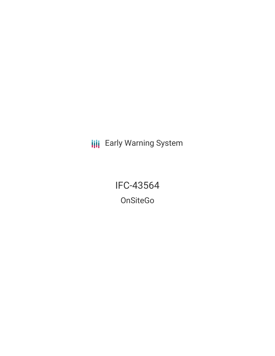**III** Early Warning System

IFC-43564 OnSiteGo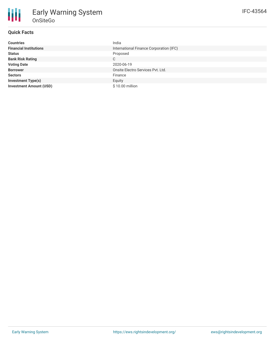| <b>Countries</b>               | India                                   |
|--------------------------------|-----------------------------------------|
| <b>Financial Institutions</b>  | International Finance Corporation (IFC) |
| <b>Status</b>                  | Proposed                                |
| <b>Bank Risk Rating</b>        | C                                       |
| <b>Voting Date</b>             | 2020-06-19                              |
| <b>Borrower</b>                | Onsite Electro Services Pyt. Ltd.       |
| <b>Sectors</b>                 | Finance                                 |
| <b>Investment Type(s)</b>      | Equity                                  |
| <b>Investment Amount (USD)</b> | \$10.00 million                         |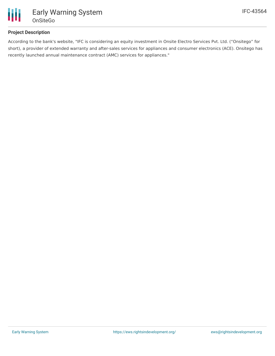

## **Project Description**

According to the bank's website, "IFC is considering an equity investment in Onsite Electro Services Pvt. Ltd. ("Onsitego" for short), a provider of extended warranty and after-sales services for appliances and consumer electronics (ACE). Onsitego has recently launched annual maintenance contract (AMC) services for appliances."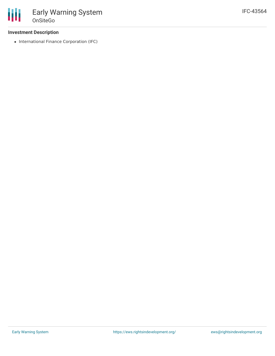• International Finance Corporation (IFC)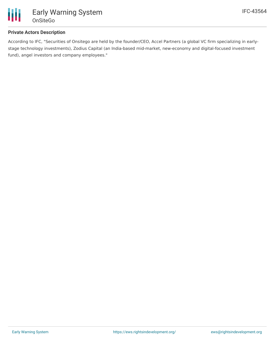

### **Private Actors Description**

According to IFC, "Securities of Onsitego are held by the founder/CEO, Accel Partners (a global VC firm specializing in earlystage technology investments), Zodius Capital (an India-based mid-market, new-economy and digital-focused investment fund), angel investors and company employees."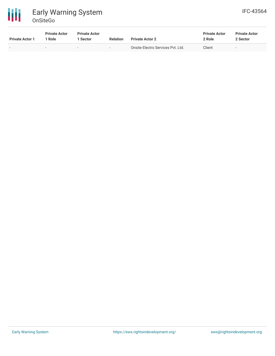

# Early Warning System OnSiteGo

| <b>Private Actor 1</b> | <b>Private Actor</b><br>Role | <b>Private Actor</b><br><b>Sector</b> | <b>Relation</b>          | <b>Private Actor 2</b>            | <b>Private Actor</b><br>2 Role | <b>Private Actor</b><br>2 Sector |
|------------------------|------------------------------|---------------------------------------|--------------------------|-----------------------------------|--------------------------------|----------------------------------|
|                        | $\sim$                       | $\overline{\phantom{a}}$              | $\overline{\phantom{a}}$ | Onsite Electro Services Pvt. Ltd. | Client                         | $\overline{\phantom{0}}$         |